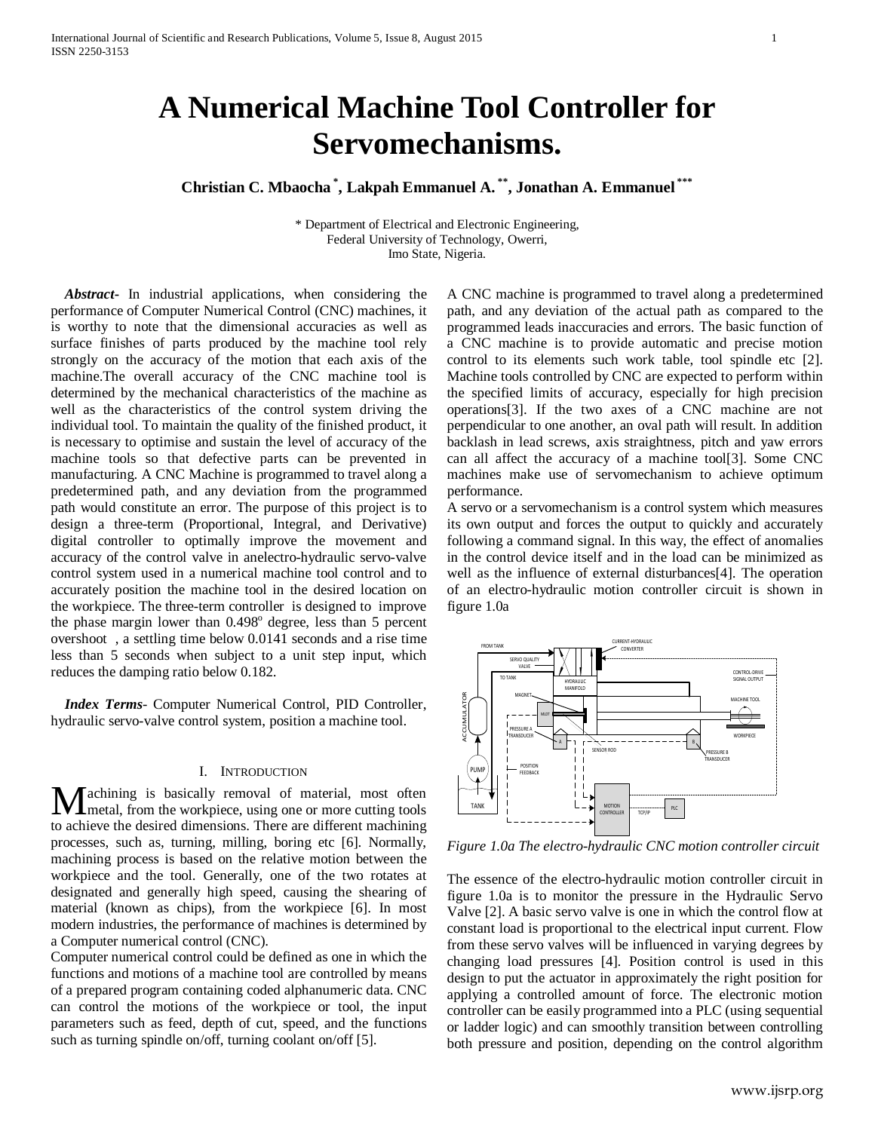# **A Numerical Machine Tool Controller for Servomechanisms.**

**Christian C. Mbaocha \* , Lakpah Emmanuel A. \*\*, Jonathan A. Emmanuel \*\*\***

\* Department of Electrical and Electronic Engineering, Federal University of Technology, Owerri, Imo State, Nigeria.

 *Abstract***-** In industrial applications, when considering the performance of Computer Numerical Control (CNC) machines, it is worthy to note that the dimensional accuracies as well as surface finishes of parts produced by the machine tool rely strongly on the accuracy of the motion that each axis of the machine.The overall accuracy of the CNC machine tool is determined by the mechanical characteristics of the machine as well as the characteristics of the control system driving the individual tool. To maintain the quality of the finished product, it is necessary to optimise and sustain the level of accuracy of the machine tools so that defective parts can be prevented in manufacturing. A CNC Machine is programmed to travel along a predetermined path, and any deviation from the programmed path would constitute an error. The purpose of this project is to design a three-term (Proportional, Integral, and Derivative) digital controller to optimally improve the movement and accuracy of the control valve in anelectro-hydraulic servo-valve control system used in a numerical machine tool control and to accurately position the machine tool in the desired location on the workpiece. The three-term controller is designed to improve the phase margin lower than  $0.498^\circ$  degree, less than 5 percent overshoot , a settling time below 0.0141 seconds and a rise time less than 5 seconds when subject to a unit step input, which reduces the damping ratio below 0.182.

 *Index Terms*- Computer Numerical Control, PID Controller, hydraulic servo-valve control system, position a machine tool.

# I. INTRODUCTION

achining is basically removal of material, most often metal, from the workpiece, using one or more cutting tools **M** achining is basically removal of material, most often metal, from the workpiece, using one or more cutting tools to achieve the desired dimensions. There are different machining processes, such as, turning, milling, boring etc [6]. Normally, machining process is based on the relative motion between the workpiece and the tool. Generally, one of the two rotates at designated and generally high speed, causing the shearing of material (known as chips), from the workpiece [6]. In most modern industries, the performance of machines is determined by a Computer numerical control (CNC).

Computer numerical control could be defined as one in which the functions and motions of a machine tool are controlled by means of a prepared program containing coded alphanumeric data. CNC can control the motions of the workpiece or tool, the input parameters such as feed, depth of cut, speed, and the functions such as turning spindle on/off, turning coolant on/off [5].

A CNC machine is programmed to travel along a predetermined path, and any deviation of the actual path as compared to the programmed leads inaccuracies and errors. The basic function of a CNC machine is to provide automatic and precise motion control to its elements such work table, tool spindle etc [2]. Machine tools controlled by CNC are expected to perform within the specified limits of accuracy, especially for high precision operations[3]. If the two axes of a CNC machine are not perpendicular to one another, an oval path will result. In addition backlash in lead screws, axis straightness, pitch and yaw errors can all affect the accuracy of a machine tool[3]. Some CNC machines make use of servomechanism to achieve optimum performance.

A servo or a servomechanism is a control system which measures its own output and forces the output to quickly and accurately following a command signal. In this way, the effect of anomalies in the control device itself and in the load can be minimized as well as the influence of external disturbances[4]. The operation of an electro-hydraulic motion controller circuit is shown in figure 1.0a



*Figure 1.0a The electro-hydraulic CNC motion controller circuit*

The essence of the electro-hydraulic motion controller circuit in figure 1.0a is to monitor the pressure in the Hydraulic Servo Valve [2]. A basic servo valve is one in which the control flow at constant load is proportional to the electrical input current. Flow from these servo valves will be influenced in varying degrees by changing load pressures [4]. Position control is used in this design to put the actuator in approximately the right position for applying a controlled amount of force. The electronic motion controller can be easily programmed into a PLC (using sequential or ladder logic) and can smoothly transition between controlling both pressure and position, depending on the control algorithm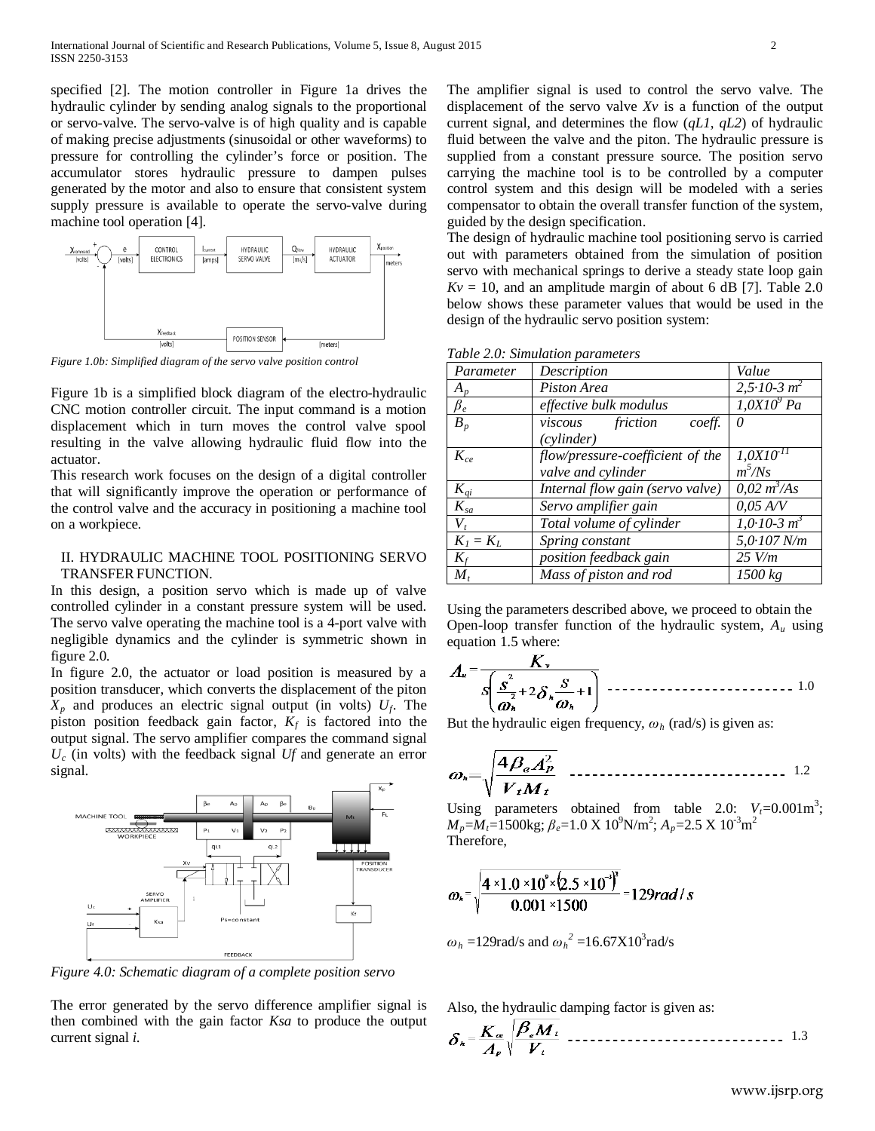specified [2]. The motion controller in Figure 1a drives the hydraulic cylinder by sending analog signals to the proportional or servo-valve. The servo-valve is of high quality and is capable of making precise adjustments (sinusoidal or other waveforms) to pressure for controlling the cylinder's force or position. The accumulator stores hydraulic pressure to dampen pulses generated by the motor and also to ensure that consistent system supply pressure is available to operate the servo-valve during machine tool operation [4].



*Figure 1.0b: Simplified diagram of the servo valve position control*

Figure 1b is a simplified block diagram of the electro-hydraulic CNC motion controller circuit. The input command is a motion displacement which in turn moves the control valve spool resulting in the valve allowing hydraulic fluid flow into the actuator.

This research work focuses on the design of a digital controller that will significantly improve the operation or performance of the control valve and the accuracy in positioning a machine tool on a workpiece.

# II. HYDRAULIC MACHINE TOOL POSITIONING SERVO TRANSFER FUNCTION.

In this design, a position servo which is made up of valve controlled cylinder in a constant pressure system will be used. The servo valve operating the machine tool is a 4-port valve with negligible dynamics and the cylinder is symmetric shown in figure 2.0.

In figure 2.0, the actuator or load position is measured by a position transducer, which converts the displacement of the piton  $X_p$  and produces an electric signal output (in volts)  $U_f$ . The piston position feedback gain factor,  $K_f$  is factored into the output signal. The servo amplifier compares the command signal *Uc* (in volts) with the feedback signal *Uf* and generate an error signal.



*Figure 4.0: Schematic diagram of a complete position servo*

The error generated by the servo difference amplifier signal is then combined with the gain factor *Ksa* to produce the output current signal *i*.

The amplifier signal is used to control the servo valve. The displacement of the servo valve *Xv* is a function of the output current signal, and determines the flow (*qL1*, *qL2*) of hydraulic fluid between the valve and the piton. The hydraulic pressure is supplied from a constant pressure source. The position servo carrying the machine tool is to be controlled by a computer control system and this design will be modeled with a series compensator to obtain the overall transfer function of the system, guided by the design specification.

The design of hydraulic machine tool positioning servo is carried out with parameters obtained from the simulation of position servo with mechanical springs to derive a steady state loop gain  $Kv = 10$ , and an amplitude margin of about 6 dB [7]. Table 2.0 below shows these parameter values that would be used in the design of the hydraulic servo position system:

|  |  | Table 2.0: Simulation parameters |
|--|--|----------------------------------|
|--|--|----------------------------------|

| Parameter   | Description                      | Value                       |
|-------------|----------------------------------|-----------------------------|
| $A_p$       | Piston Area                      | $2, 5 \cdot 10 - 3 \, m^2$  |
| $\beta_e$   | effective bulk modulus           | $1,0X10^9$ Pa               |
| $B_p$       | friction<br>viscous<br>coeff.    | $\theta$                    |
|             | (cylinder)                       |                             |
| $K_{ce}$    | flow/pressure-coefficient of the | $\overline{1,0X}$ $10^{-1}$ |
|             | valve and cylinder               | $m^5/Ns$                    |
| $K_{qi}$    | Internal flow gain (servo valve) | $0.02 \frac{m^3}{As}$       |
| $K_{sa}$    | Servo amplifier gain             | $0.05$ A/V                  |
| $V_t$       | Total volume of cylinder         | $1,0.10-3 m^3$              |
| $K_I = K_L$ | Spring constant                  | $5,0.107$ N/m               |
| $K_f$       | position feedback gain           | $25$ V/m                    |
| $M_{t}$     | Mass of piston and rod           | 1500 kg                     |

Using the parameters described above, we proceed to obtain the Open-loop transfer function of the hydraulic system, *Au* using equation 1.5 where:

1.0

But the hydraulic eigen frequency, *ω<sup>h</sup>* (rad/s) is given as:

$$
\omega_h = \sqrt{\frac{4\beta_e A_p^2}{V_t M_t}}
$$

Using parameters obtained from table 2.0:  $V_t = 0.001 \text{ m}^3$ ; *M<sub>p</sub>*=*M*<sub>t</sub>=1500kg; *β*<sub>e</sub>=1.0 X 10<sup>9</sup>N/m<sup>2</sup>; *A<sub>p</sub>*=2.5 X 10<sup>-3</sup>m<sup>2</sup> Therefore,

$$
\omega_{\star} = \sqrt{\frac{4 \times 1.0 \times 10^{9} \times (2.5 \times 10^{-3})^{2}}{0.001 \times 1500}} = 129 \, \text{rad/s}
$$

 $\omega_h$  =129rad/s and  $\omega_h^2$  =16.67X10<sup>3</sup>rad/s

Also, the hydraulic damping factor is given as:

1.3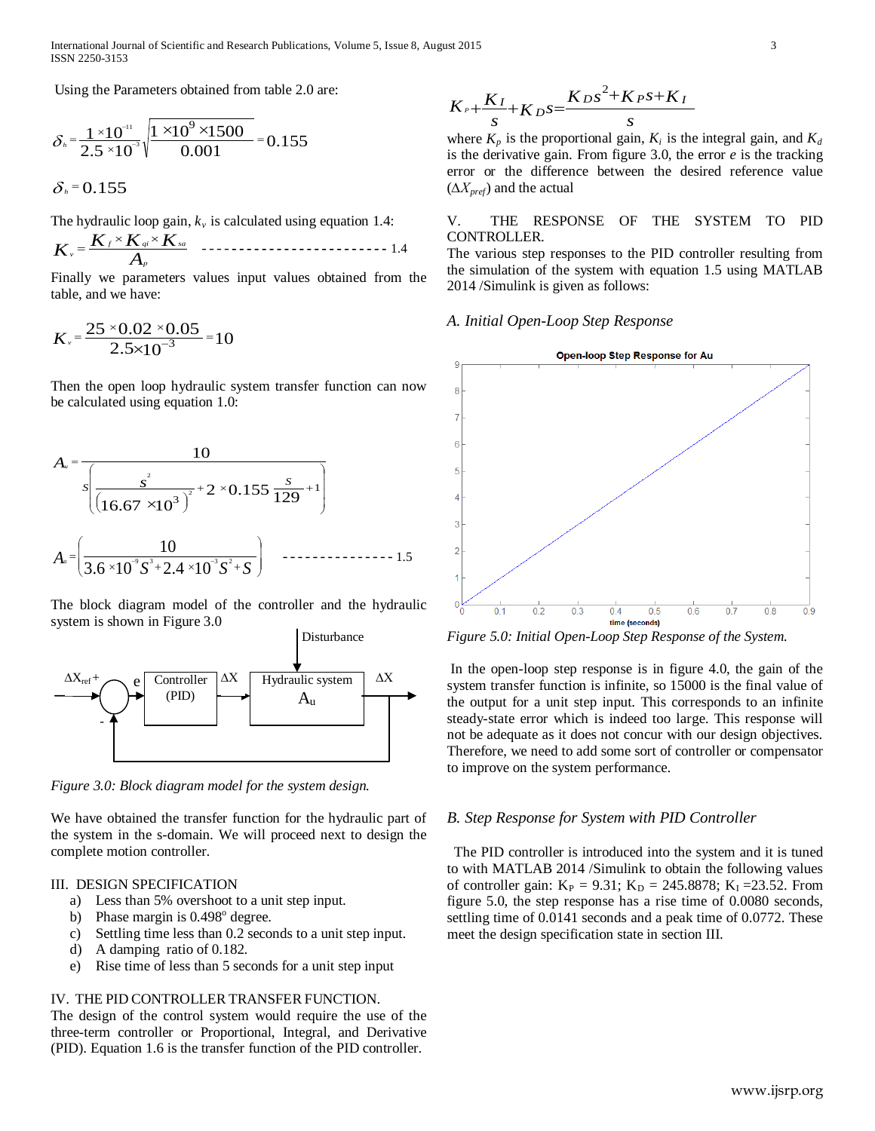Using the Parameters obtained from table 2.0 are:

$$
\delta_n = \frac{1 \times 10^{-11}}{2.5 \times 10^{-3}} \sqrt{\frac{1 \times 10^9 \times 1500}{0.001}} = 0.155
$$

$$
\delta_{\scriptscriptstyle h}\,{=}\,0.155
$$

The hydraulic loop gain,  $k_v$  is calculated using equation 1.4:

*A <sup>K</sup> <sup>K</sup> <sup>K</sup> <sup>K</sup> <sup>p</sup> f qi sa v* <sup>×</sup> <sup>×</sup> <sup>=</sup> 1.4

Finally we parameters values input values obtained from the table, and we have:

$$
K_{\nu} = \frac{25 \times 0.02 \times 0.05}{2.5 \times 10^{-3}} = 10
$$

Then the open loop hydraulic system transfer function can now be calculated using equation 1.0:

$$
A_u = \frac{10}{s \left[ \frac{s^2}{\left( 16.67 \times 10^3 \right)^2} + 2 \times 0.155 \frac{s}{129} + 1 \right]}
$$
  

$$
A_u = \left( \frac{10}{3.6 \times 10^9 s^3 + 2.4 \times 10^3 s^2 + s} \right)
$$

The block diagram model of the controller and the hydraulic system is shown in Figure 3.0



*Figure 3.0: Block diagram model for the system design.*

We have obtained the transfer function for the hydraulic part of the system in the s-domain. We will proceed next to design the complete motion controller.

## III. DESIGN SPECIFICATION

- a) Less than 5% overshoot to a unit step input.
- b) Phase margin is  $0.498^\circ$  degree.
- c) Settling time less than 0.2 seconds to a unit step input.
- d) A damping ratio of 0.182.
- e) Rise time of less than 5 seconds for a unit step input

# IV. THE PID CONTROLLER TRANSFER FUNCTION.

The design of the control system would require the use of the three-term controller or Proportional, Integral, and Derivative (PID). Equation 1.6 is the transfer function of the PID controller.

$$
K_{P} + \frac{K_{I}}{s} + K_{D} s = \frac{K_{D} s^{2} + K_{P} s + K_{I}}{s}
$$

where  $K_p$  is the proportional gain,  $K_i$  is the integral gain, and  $K_d$ is the derivative gain. From figure 3.0, the error *e* is the tracking error or the difference between the desired reference value (*∆Xpref*) and the actual

# V. THE RESPONSE OF THE SYSTEM TO PID CONTROLLER.

The various step responses to the PID controller resulting from the simulation of the system with equation 1.5 using MATLAB 2014 /Simulink is given as follows:

# *A. Initial Open-Loop Step Response*



*Figure 5.0: Initial Open-Loop Step Response of the System.*

In the open-loop step response is in figure 4.0, the gain of the system transfer function is infinite, so 15000 is the final value of the output for a unit step input. This corresponds to an infinite steady-state error which is indeed too large. This response will not be adequate as it does not concur with our design objectives. Therefore, we need to add some sort of controller or compensator to improve on the system performance.

#### *B. Step Response for System with PID Controller*

 The PID controller is introduced into the system and it is tuned to with MATLAB 2014 /Simulink to obtain the following values of controller gain:  $K_P = 9.31$ ;  $K_D = 245.8878$ ;  $K_I = 23.52$ . From figure 5.0, the step response has a rise time of 0.0080 seconds, settling time of 0.0141 seconds and a peak time of 0.0772. These meet the design specification state in section III.